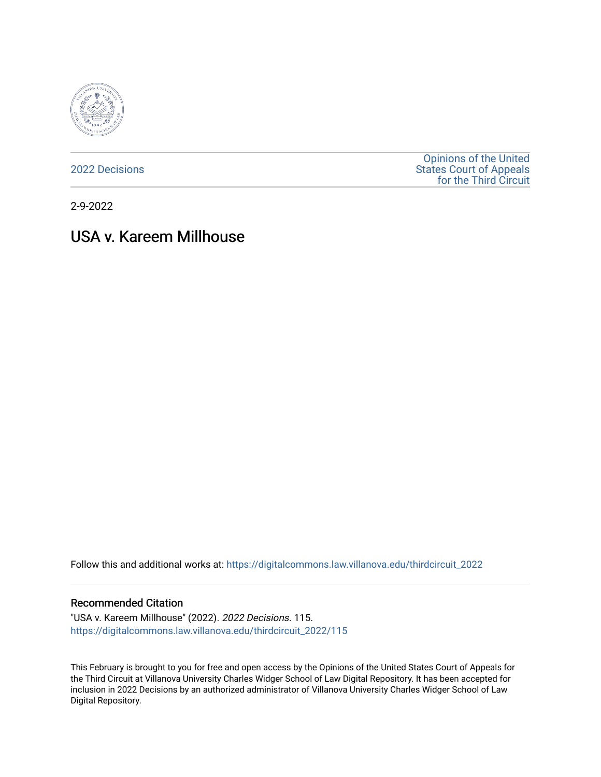

[2022 Decisions](https://digitalcommons.law.villanova.edu/thirdcircuit_2022)

[Opinions of the United](https://digitalcommons.law.villanova.edu/thirdcircuit)  [States Court of Appeals](https://digitalcommons.law.villanova.edu/thirdcircuit)  [for the Third Circuit](https://digitalcommons.law.villanova.edu/thirdcircuit) 

2-9-2022

# USA v. Kareem Millhouse

Follow this and additional works at: [https://digitalcommons.law.villanova.edu/thirdcircuit\\_2022](https://digitalcommons.law.villanova.edu/thirdcircuit_2022?utm_source=digitalcommons.law.villanova.edu%2Fthirdcircuit_2022%2F115&utm_medium=PDF&utm_campaign=PDFCoverPages) 

### Recommended Citation

"USA v. Kareem Millhouse" (2022). 2022 Decisions. 115. [https://digitalcommons.law.villanova.edu/thirdcircuit\\_2022/115](https://digitalcommons.law.villanova.edu/thirdcircuit_2022/115?utm_source=digitalcommons.law.villanova.edu%2Fthirdcircuit_2022%2F115&utm_medium=PDF&utm_campaign=PDFCoverPages)

This February is brought to you for free and open access by the Opinions of the United States Court of Appeals for the Third Circuit at Villanova University Charles Widger School of Law Digital Repository. It has been accepted for inclusion in 2022 Decisions by an authorized administrator of Villanova University Charles Widger School of Law Digital Repository.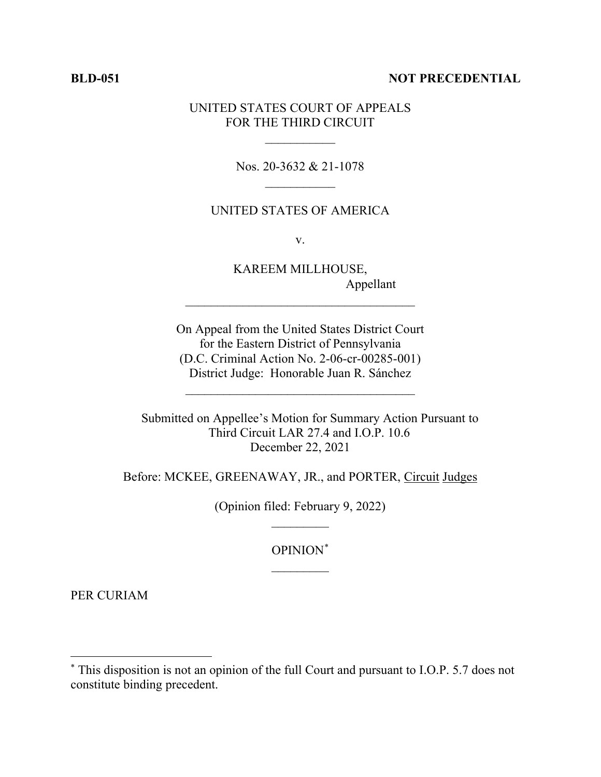# **BLD-051 NOT PRECEDENTIAL**

# UNITED STATES COURT OF APPEALS FOR THE THIRD CIRCUIT

 $\frac{1}{2}$ 

Nos. 20-3632 & 21-1078  $\frac{1}{2}$ 

# UNITED STATES OF AMERICA

v.

KAREEM MILLHOUSE, Appellant

On Appeal from the United States District Court for the Eastern District of Pennsylvania (D.C. Criminal Action No. 2-06-cr-00285-001) District Judge: Honorable Juan R. Sánchez

 $\mathcal{L}_\text{max}$  and  $\mathcal{L}_\text{max}$  and  $\mathcal{L}_\text{max}$  and  $\mathcal{L}_\text{max}$ 

\_\_\_\_\_\_\_\_\_\_\_\_\_\_\_\_\_\_\_\_\_\_\_\_\_\_\_\_\_\_\_\_\_\_\_\_

Submitted on Appellee's Motion for Summary Action Pursuant to Third Circuit LAR 27.4 and I.O.P. 10.6 December 22, 2021

Before: MCKEE, GREENAWAY, JR., and PORTER, Circuit Judges

(Opinion filed: February 9, 2022)  $\overline{\phantom{a}}$ 

> OPINION\*  $\overline{\phantom{a}}$

PER CURIAM

<sup>\*</sup> This disposition is not an opinion of the full Court and pursuant to I.O.P. 5.7 does not constitute binding precedent.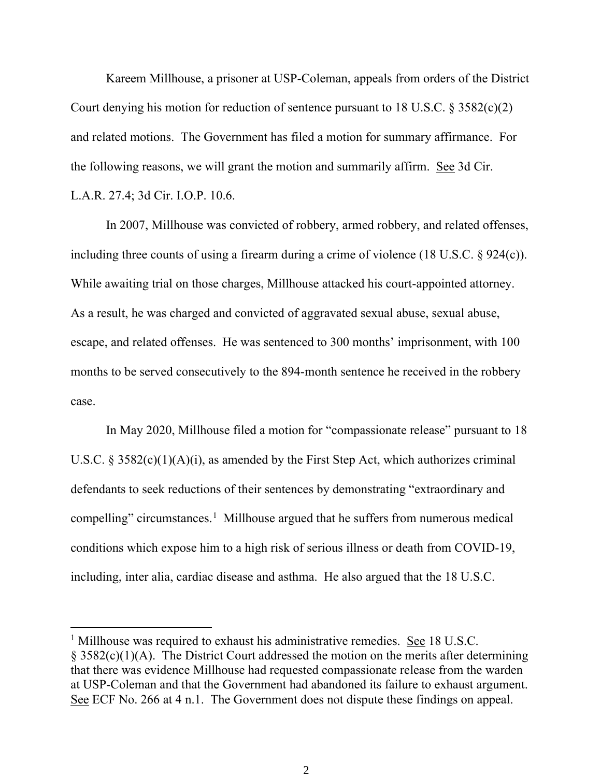Kareem Millhouse, a prisoner at USP-Coleman, appeals from orders of the District Court denying his motion for reduction of sentence pursuant to 18 U.S.C. § 3582(c)(2) and related motions. The Government has filed a motion for summary affirmance. For the following reasons, we will grant the motion and summarily affirm. See 3d Cir. L.A.R. 27.4; 3d Cir. I.O.P. 10.6.

In 2007, Millhouse was convicted of robbery, armed robbery, and related offenses, including three counts of using a firearm during a crime of violence (18 U.S.C. § 924(c)). While awaiting trial on those charges, Millhouse attacked his court-appointed attorney. As a result, he was charged and convicted of aggravated sexual abuse, sexual abuse, escape, and related offenses. He was sentenced to 300 months' imprisonment, with 100 months to be served consecutively to the 894-month sentence he received in the robbery case.

In May 2020, Millhouse filed a motion for "compassionate release" pursuant to 18 U.S.C.  $\S 3582(c)(1)(A)(i)$ , as amended by the First Step Act, which authorizes criminal defendants to seek reductions of their sentences by demonstrating "extraordinary and compelling" circumstances.<sup>1</sup> Millhouse argued that he suffers from numerous medical conditions which expose him to a high risk of serious illness or death from COVID-19, including, inter alia, cardiac disease and asthma. He also argued that the 18 U.S.C.

<sup>&</sup>lt;sup>1</sup> Millhouse was required to exhaust his administrative remedies. See 18 U.S.C.  $\S$  3582(c)(1)(A). The District Court addressed the motion on the merits after determining that there was evidence Millhouse had requested compassionate release from the warden at USP-Coleman and that the Government had abandoned its failure to exhaust argument. See ECF No. 266 at 4 n.1. The Government does not dispute these findings on appeal.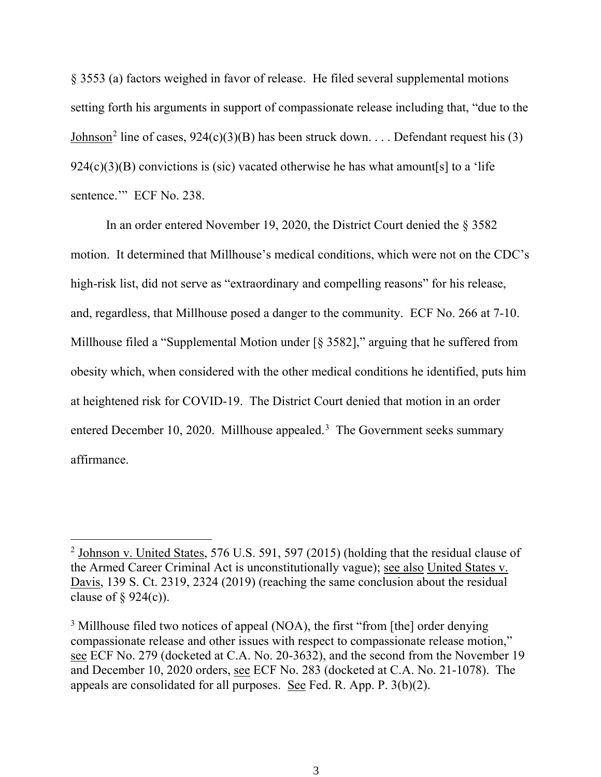§ 3553 (a) factors weighed in favor of release. He filed several supplemental motions setting forth his arguments in support of compassionate release including that, "due to the Johnson<sup>2</sup> line of cases,  $924(c)(3)(B)$  has been struck down. . . . Defendant request his (3)  $924(c)(3)(B)$  convictions is (sic) vacated otherwise he has what amount[s] to a 'life sentence." ECF No. 238.

In an order entered November 19, 2020, the District Court denied the § 3582 motion. It determined that Millhouse's medical conditions, which were not on the CDC's high-risk list, did not serve as "extraordinary and compelling reasons" for his release, and, regardless, that Millhouse posed a danger to the community. ECF No. 266 at 7-10. Millhouse filed a "Supplemental Motion under [§ 3582]," arguing that he suffered from obesity which, when considered with the other medical conditions he identified, puts him at heightened risk for COVID-19. The District Court denied that motion in an order entered December 10, 2020. Millhouse appealed.<sup>3</sup> The Government seeks summary affirmance.

<sup>2</sup> Johnson v. United States, 576 U.S. 591, 597 (2015) (holding that the residual clause of the Armed Career Criminal Act is unconstitutionally vague); see also United States v. Davis, 139 S. Ct. 2319, 2324 (2019) (reaching the same conclusion about the residual clause of  $\S$  924(c)).

<sup>&</sup>lt;sup>3</sup> Millhouse filed two notices of appeal (NOA), the first "from [the] order denying compassionate release and other issues with respect to compassionate release motion," see ECF No. 279 (docketed at C.A. No. 20-3632), and the second from the November 19 and December 10, 2020 orders, see ECF No. 283 (docketed at C.A. No. 21-1078). The appeals are consolidated for all purposes. See Fed. R. App. P. 3(b)(2).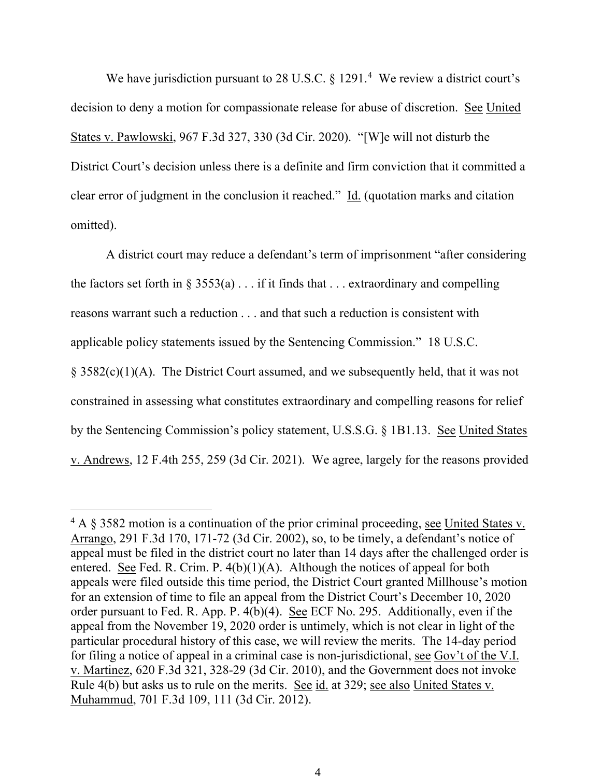We have jurisdiction pursuant to 28 U.S.C.  $\S 1291.^4$  We review a district court's decision to deny a motion for compassionate release for abuse of discretion. See United States v. Pawlowski, 967 F.3d 327, 330 (3d Cir. 2020). "[W]e will not disturb the District Court's decision unless there is a definite and firm conviction that it committed a clear error of judgment in the conclusion it reached." Id. (quotation marks and citation omitted).

A district court may reduce a defendant's term of imprisonment "after considering the factors set forth in  $\S 3553(a) \ldots$  if it finds that ... extraordinary and compelling reasons warrant such a reduction . . . and that such a reduction is consistent with applicable policy statements issued by the Sentencing Commission." 18 U.S.C. § 3582(c)(1)(A). The District Court assumed, and we subsequently held, that it was not constrained in assessing what constitutes extraordinary and compelling reasons for relief by the Sentencing Commission's policy statement, U.S.S.G. § 1B1.13. See United States v. Andrews, 12 F.4th 255, 259 (3d Cir. 2021). We agree, largely for the reasons provided

<sup>4</sup> A § 3582 motion is a continuation of the prior criminal proceeding, see United States v. Arrango, 291 F.3d 170, 171-72 (3d Cir. 2002), so, to be timely, a defendant's notice of appeal must be filed in the district court no later than 14 days after the challenged order is entered. See Fed. R. Crim. P.  $4(b)(1)(A)$ . Although the notices of appeal for both appeals were filed outside this time period, the District Court granted Millhouse's motion for an extension of time to file an appeal from the District Court's December 10, 2020 order pursuant to Fed. R. App. P.  $\widehat{A(b)}(4)$ . See ECF No. 295. Additionally, even if the appeal from the November 19, 2020 order is untimely, which is not clear in light of the particular procedural history of this case, we will review the merits. The 14-day period for filing a notice of appeal in a criminal case is non-jurisdictional, see Gov't of the V.I. v. Martinez, 620 F.3d 321, 328-29 (3d Cir. 2010), and the Government does not invoke Rule 4(b) but asks us to rule on the merits. See id. at 329; see also United States v. Muhammud, 701 F.3d 109, 111 (3d Cir. 2012).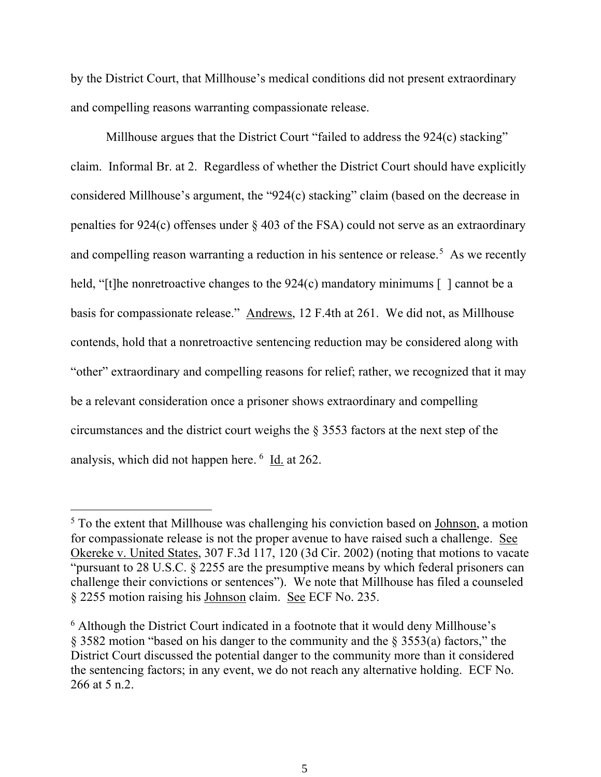by the District Court, that Millhouse's medical conditions did not present extraordinary and compelling reasons warranting compassionate release.

Millhouse argues that the District Court "failed to address the 924(c) stacking" claim. Informal Br. at 2. Regardless of whether the District Court should have explicitly considered Millhouse's argument, the "924(c) stacking" claim (based on the decrease in penalties for 924(c) offenses under § 403 of the FSA) could not serve as an extraordinary and compelling reason warranting a reduction in his sentence or release.<sup>5</sup> As we recently held, "[t]he nonretroactive changes to the 924(c) mandatory minimums [] cannot be a basis for compassionate release." Andrews, 12 F.4th at 261. We did not, as Millhouse contends, hold that a nonretroactive sentencing reduction may be considered along with "other" extraordinary and compelling reasons for relief; rather, we recognized that it may be a relevant consideration once a prisoner shows extraordinary and compelling circumstances and the district court weighs the § 3553 factors at the next step of the analysis, which did not happen here. <sup>6</sup> Id. at 262.

<sup>&</sup>lt;sup>5</sup> To the extent that Millhouse was challenging his conviction based on Johnson, a motion for compassionate release is not the proper avenue to have raised such a challenge. See Okereke v. United States, 307 F.3d 117, 120 (3d Cir. 2002) (noting that motions to vacate "pursuant to 28 U.S.C. § 2255 are the presumptive means by which federal prisoners can challenge their convictions or sentences"). We note that Millhouse has filed a counseled § 2255 motion raising his Johnson claim. See ECF No. 235.

<sup>&</sup>lt;sup>6</sup> Although the District Court indicated in a footnote that it would deny Millhouse's § 3582 motion "based on his danger to the community and the § 3553(a) factors," the District Court discussed the potential danger to the community more than it considered the sentencing factors; in any event, we do not reach any alternative holding. ECF No. 266 at 5 n.2.